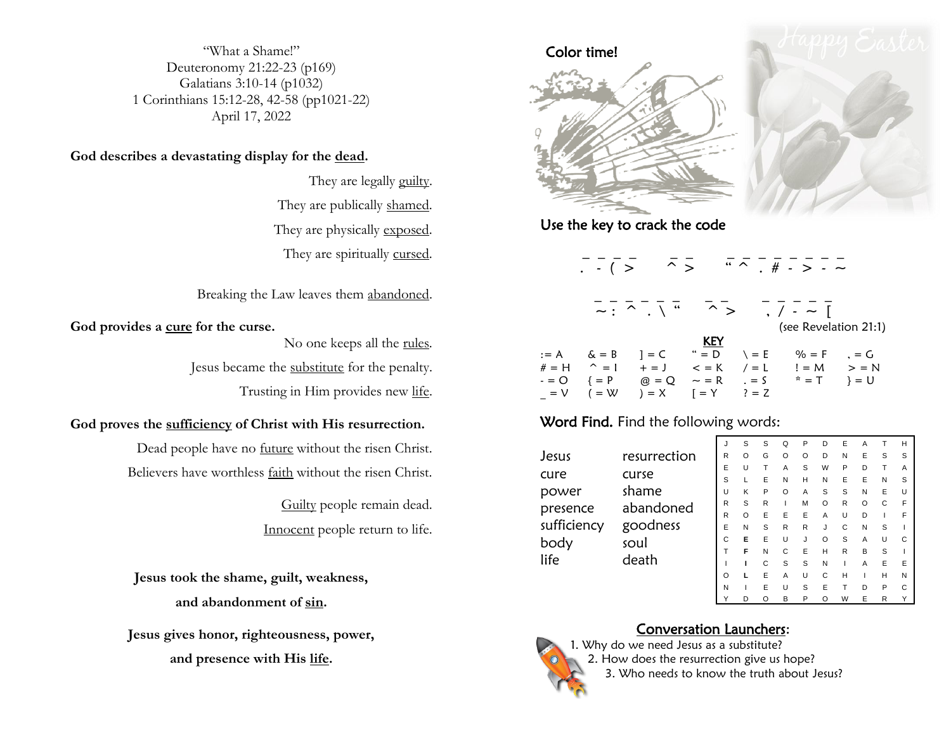"What a Shame!" Deuteronomy 21:22-23 (p169) Galatians 3:10-14 (p1032) 1 Corinthians 15:12-28, 42-58 (pp1021-22) April 17, 2022

#### **God describes a devastating display for the dead.**

They are legally guilty. They are publically shamed. They are physically exposed. They are spiritually cursed.

#### Breaking the Law leaves them abandoned.

#### **God provides a cure for the curse.**

No one keeps all the rules.

Jesus became the substitute for the penalty.

Trusting in Him provides new life.

#### **God proves the sufficiency of Christ with His resurrection.**

Dead people have no future without the risen Christ. Believers have worthless faith without the risen Christ.

> Guilty people remain dead. Innocent people return to life.

**Jesus took the shame, guilt, weakness, and abandonment of sin.**

**Jesus gives honor, righteousness, power, and presence with His life.**



Use the key to crack the code

|         | $. \tbinom{•}{~}$ | $\hat{\ }$ $\hat{\ }$                                                                                                                       |             |               |                       |         |
|---------|-------------------|---------------------------------------------------------------------------------------------------------------------------------------------|-------------|---------------|-----------------------|---------|
|         |                   | $\overline{\sim}$ : $\overline{\wedge}$ $\overline{\wedge}$ $\overline{\wedge}$ $\overline{\wedge}$ $\overline{\wedge}$ $\overline{\wedge}$ |             |               | $, / - -$ [           |         |
|         |                   |                                                                                                                                             |             |               | (see Revelation 21:1) |         |
|         |                   |                                                                                                                                             | <b>KEY</b>  |               |                       |         |
|         | $:= A$ $\&= B$    | $1 = C$                                                                                                                                     | $" = D$     | $\lambda = E$ | $% = F$               | $= G$   |
| $# = H$ | $\hat{z} = 1$     | $+ =$ J                                                                                                                                     | $\lt$ = K   | $\ell = L$    | $!=$ M                | $>$ = N |
| - = O   | $\{ = P$          | $@ = Q$                                                                                                                                     | $\sim$ = R  | $= 5$         | $x = T$               | $= 0$   |
| $= V$   | $($ = W           | $) = X$                                                                                                                                     | $= Y$ ? = Z |               |                       |         |

\_ \_ \_ \_ \_ \_ \_ \_ \_ \_ \_ \_ \_ \_

#### Word Find. Find the following words:

Jesus resurrection cure curse power shame presence abandoned sufficiency goodness body soul life death

| J | S | S | Q | P | D | E | Α              | т | Н |
|---|---|---|---|---|---|---|----------------|---|---|
| R | O | G | O | O | D | N | E              | S | S |
| E | U | Т | Α | S | W | Ρ | D              | Т | Α |
| S | L | E | N | Η | N | E | E              | N | S |
| U | Κ | P | O | Α | S | S | N              | E | U |
| R | S | R | I | M | O | R | O              | C | F |
| R | O | E | E | E | Α | U | D              | I | F |
| E | N | S | R | R | J | С | N              | S | I |
| C | E | E | U | J | O | S | Α              | U | С |
| T | F | N | С | E | Η | R | B              | S | I |
| Ī | ı | С | S | S | N | Ī | Α              | E | E |
| O | г | E | Α | U | С | Н | $\overline{1}$ | Η | N |
| Ν | I | E | U | S | E | T | D              | P | С |
| Y | D | O | B | P | O | W | E              | R | Υ |

## Conversation Launchers:



1. Why do we need Jesus as a substitute? 2. How does the resurrection give us hope? 3. Who needs to know the truth about Jesus?